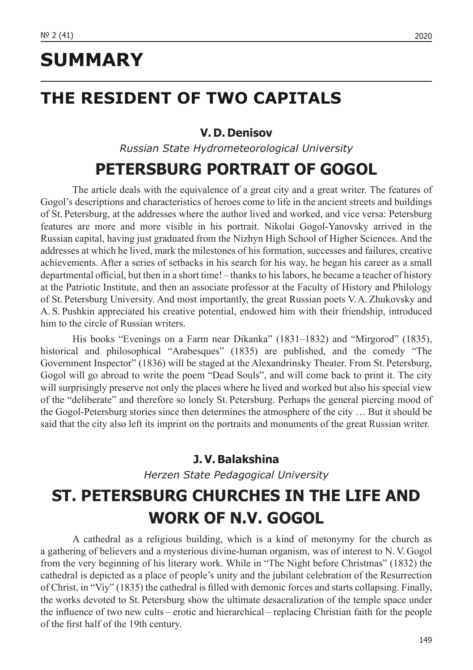# **SUMMARY**

## **THE RESIDENT OF TWO CAPITALS**

#### **V. D. Denisov**

*Russian State Hydrometeorological University*

## **PETERSBURG PORTRAIT OF GOGOL**

The article deals with the equivalence of a great city and a great writer. The features of Gogol's descriptions and characteristics of heroes come to life in the ancient streets and buildings of St. Petersburg, at the addresses where the author lived and worked, and vice versa: Petersburg features are more and more visible in his portrait. Nikolai Gogol-Yanovsky arrived in the Russian capital, having just graduated from the Nizhyn High School of Higher Sciences. And the addresses at which he lived, mark the milestones of his formation, successes and failures, creative achievements. After a series of setbacks in his search for his way, he began his career as a small departmental official, but then in a short time! – thanks to his labors, he became a teacher of history at the Patriotic Institute, and then an associate professor at the Faculty of History and Philology of St. Petersburg University. And most importantly, the great Russian poets V.A. Zhukovsky and A. S. Pushkin appreciated his creative potential, endowed him with their friendship, introduced him to the circle of Russian writers.

His books "Evenings on a Farm near Dikanka" (1831–1832) and "Mirgorod" (1835), historical and philosophical "Arabesques" (1835) are published, and the comedy "The Government Inspector" (1836) will be staged at the Alexandrinsky Theater. From St. Petersburg, Gogol will go abroad to write the poem "Dead Souls", and will come back to print it. The city will surprisingly preserve not only the places where he lived and worked but also his special view of the "deliberate" and therefore so lonely St. Petersburg. Perhaps the general piercing mood of the Gogol-Petersburg stories since then determines the atmosphere of the city … But it should be said that the city also left its imprint on the portraits and monuments of the great Russian writer.

#### **J. V. Balakshina**

*Herzen State Pedagogical University*

# **ST. PETERSBURG CHURCHES IN THE LIFE AND WORK OF N.V. GOGOL**

A cathedral as a religious building, which is a kind of metonymy for the church as a gathering of believers and a mysterious divine-human organism, was of interest to N. V. Gogol from the very beginning of his literary work. While in "The Night before Christmas" (1832) the cathedral is depicted as a place of people's unity and the jubilant celebration of the Resurrection of Christ, in "Viy" (1835) the cathedral is filled with demonic forces and starts collapsing. Finally, the works devoted to St. Petersburg show the ultimate desacralization of the temple space under the influence of two new cults – erotic and hierarchical – replacing Christian faith for the people of the first half of the 19th century.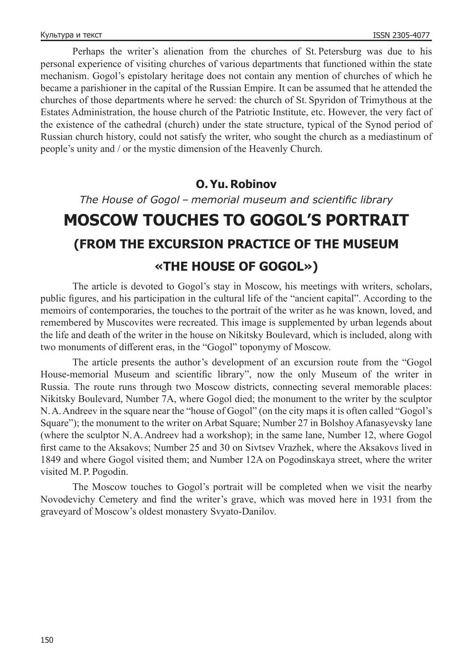Perhaps the writer's alienation from the churches of St. Petersburg was due to his personal experience of visiting churches of various departments that functioned within the state mechanism. Gogol's epistolary heritage does not contain any mention of churches of which he became a parishioner in the capital of the Russian Empire. It can be assumed that he attended the churches of those departments where he served: the church of St. Spyridon of Trimythous at the Estates Administration, the house church of the Patriotic Institute, etc. However, the very fact of the existence of the cathedral (church) under the state structure, typical of the Synod period of Russian church history, could not satisfy the writer, who sought the church as a mediastinum of people's unity and / or the mystic dimension of the Heavenly Church.

#### **O. Yu. Robinov**

*The House of Gogol – memorial museum and scientific library*

# **MOSCOW TOUCHES TO GOGOL'S PORTRAIT (FROM THE EXCURSION PRACTICE OF THE MUSEUM «THE HOUSE OF GOGOL»)**

The article is devoted to Gogol's stay in Moscow, his meetings with writers, scholars, public figures, and his participation in the cultural life of the "ancient capital". According to the memoirs of contemporaries, the touches to the portrait of the writer as he was known, loved, and remembered by Muscovites were recreated. This image is supplemented by urban legends about the life and death of the writer in the house on Nikitsky Boulevard, which is included, along with two monuments of different eras, in the "Gogol" toponymy of Moscow.

The article presents the author's development of an excursion route from the "Gogol House-memorial Museum and scientific library", now the only Museum of the writer in Russia. The route runs through two Moscow districts, connecting several memorable places: Nikitsky Boulevard, Number 7A, where Gogol died; the monument to the writer by the sculptor N.A.Andreev in the square near the "house of Gogol" (on the city maps it is often called "Gogol's Square"); the monument to the writer on Arbat Square; Number 27 in Bolshoy Afanasyevsky lane (where the sculptor N.A.Andreev had a workshop); in the same lane, Number 12, where Gogol first came to the Aksakovs; Number 25 and 30 on Sivtsev Vrazhek, where the Aksakovs lived in 1849 and where Gogol visited them; and Number 12A on Pogodinskaya street, where the writer visited M. P. Pogodin.

The Moscow touches to Gogol's portrait will be completed when we visit the nearby Novodevichy Cemetery and find the writer's grave, which was moved here in 1931 from the graveyard of Moscow's oldest monastery Svyato-Danilov.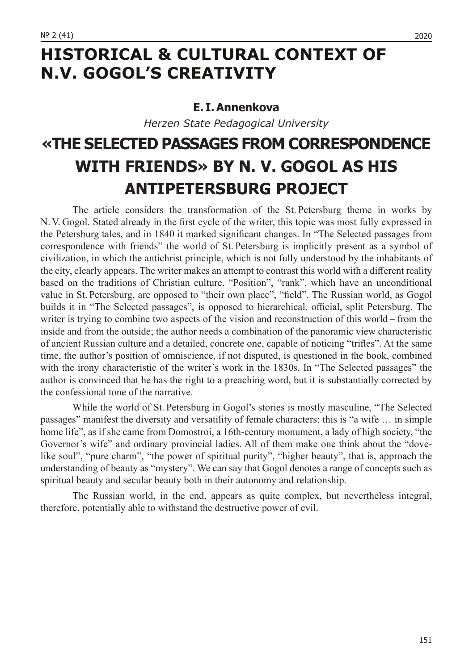## **HISTORICAL & CULTURAL CONTEXT OF N.V. GOGOL'S CREATIVITY**

### **E. I. Annenkova**

*Herzen State Pedagogical University*

# **«THE SELECTED PASSAGES FROM CORRESPONDENCE WITH FRIENDS» BY N. V. GOGOL AS HIS ANTIPETERSBURG PROJECT**

The article considers the transformation of the St. Petersburg theme in works by N. V. Gogol. Stated already in the first cycle of the writer, this topic was most fully expressed in the Petersburg tales, and in 1840 it marked significant changes. In "The Selected passages from correspondence with friends" the world of St. Petersburg is implicitly present as a symbol of civilization, in which the antichrist principle, which is not fully understood by the inhabitants of the city, clearly appears. The writer makes an attempt to contrast this world with a different reality based on the traditions of Christian culture. "Position", "rank", which have an unconditional value in St. Petersburg, are opposed to "their own place", "field". The Russian world, as Gogol builds it in "The Selected passages", is opposed to hierarchical, official, split Petersburg. The writer is trying to combine two aspects of the vision and reconstruction of this world – from the inside and from the outside; the author needs a combination of the panoramic view characteristic of ancient Russian culture and a detailed, concrete one, capable of noticing "trifles". At the same time, the author's position of omniscience, if not disputed, is questioned in the book, combined with the irony characteristic of the writer's work in the 1830s. In "The Selected passages" the author is convinced that he has the right to a preaching word, but it is substantially corrected by the confessional tone of the narrative.

While the world of St. Petersburg in Gogol's stories is mostly masculine, "The Selected passages" manifest the diversity and versatility of female characters: this is "a wife … in simple home life", as if she came from Domostroi, a 16th-century monument, a lady of high society, "the Governor's wife" and ordinary provincial ladies. All of them make one think about the "dovelike soul", "pure charm", "the power of spiritual purity", "higher beauty", that is, approach the understanding of beauty as "mystery". We can say that Gogol denotes a range of concepts such as spiritual beauty and secular beauty both in their autonomy and relationship.

The Russian world, in the end, appears as quite complex, but nevertheless integral, therefore, potentially able to withstand the destructive power of evil.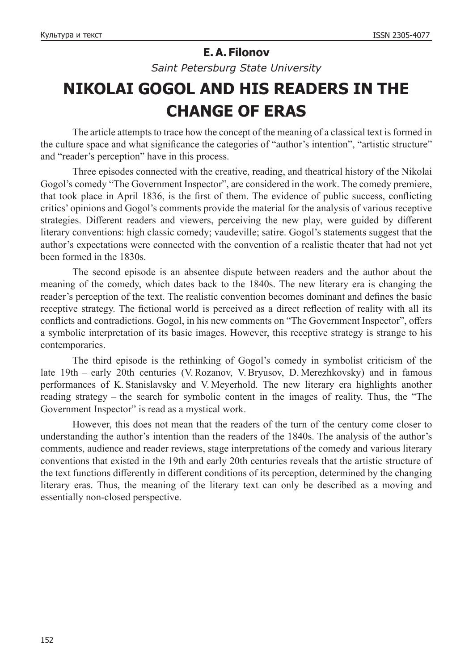## **E. A. Filonov**

*Saint Petersburg State University*

# **NIKOLAI GOGOL AND HIS READERS IN THE CHANGE OF ERAS**

The article attempts to trace how the concept of the meaning of a classical text is formed in the culture space and what significance the categories of "author's intention", "artistic structure" and "reader's perception" have in this process.

Three episodes connected with the creative, reading, and theatrical history of the Nikolai Gogol's comedy "The Government Inspector", are considered in the work. The comedy premiere, that took place in April 1836, is the first of them. The evidence of public success, conflicting critics' opinions and Gogol's comments provide the material for the analysis of various receptive strategies. Different readers and viewers, perceiving the new play, were guided by different literary conventions: high classic comedy; vaudeville; satire. Gogol's statements suggest that the author's expectations were connected with the convention of a realistic theater that had not yet been formed in the 1830s.

The second episode is an absentee dispute between readers and the author about the meaning of the comedy, which dates back to the 1840s. The new literary era is changing the reader's perception of the text. The realistic convention becomes dominant and defines the basic receptive strategy. The fictional world is perceived as a direct reflection of reality with all its conflicts and contradictions. Gogol, in his new comments on "The Government Inspector", offers a symbolic interpretation of its basic images. However, this receptive strategy is strange to his contemporaries.

The third episode is the rethinking of Gogol's comedy in symbolist criticism of the late 19th – early 20th centuries (V.Rozanov, V.Bryusov, D. Merezhkovsky) and in famous performances of K. Stanislavsky and V. Meyerhold. The new literary era highlights another reading strategy – the search for symbolic content in the images of reality. Thus, the "The Government Inspector" is read as a mystical work.

However, this does not mean that the readers of the turn of the century come closer to understanding the author's intention than the readers of the 1840s. The analysis of the author's comments, audience and reader reviews, stage interpretations of the comedy and various literary conventions that existed in the 19th and early 20th centuries reveals that the artistic structure of the text functions differently in different conditions of its perception, determined by the changing literary eras. Thus, the meaning of the literary text can only be described as a moving and essentially non-closed perspective.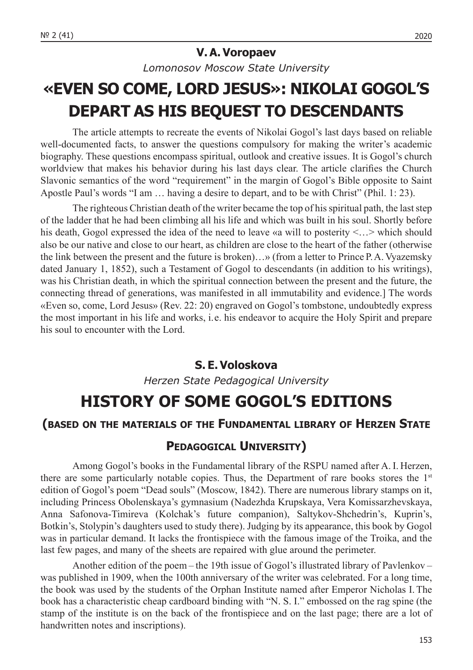### **V. A. Voropaev**

*Lomonosov Moscow State University*

# **«EVEN SO COME, LORD JESUS»: NIKOLAI GOGOL'S DEPART AS HIS BEQUEST TO DESCENDANTS**

The article attempts to recreate the events of Nikolai Gogol's last days based on reliable well-documented facts, to answer the questions compulsory for making the writer's academic biography. These questions encompass spiritual, outlook and creative issues. It is Gogol's church worldview that makes his behavior during his last days clear. The article clarifies the Church Slavonic semantics of the word "requirement" in the margin of Gogol's Bible opposite to Saint Apostle Paul's words "I am … having a desire to depart, and to be with Christ" (Phil. 1: 23).

The righteous Christian death of the writer became the top of his spiritual path, the last step of the ladder that he had been climbing all his life and which was built in his soul. Shortly before his death, Gogol expressed the idea of the need to leave «a will to posterity <...> which should also be our native and close to our heart, as children are close to the heart of the father (otherwise the link between the present and the future is broken)…» (from a letter to Prince P.A. Vyazemsky dated January 1, 1852), such a Testament of Gogol to descendants (in addition to his writings), was his Christian death, in which the spiritual connection between the present and the future, the connecting thread of generations, was manifested in all immutability and evidence.] The words «Even so, come, Lord Jesus» (Rev. 22: 20) engraved on Gogol's tombstone, undoubtedly express the most important in his life and works, i. e. his endeavor to acquire the Holy Spirit and prepare his soul to encounter with the Lord.

### **S. E. Voloskova**

*Herzen State Pedagogical University*

## **HISTORY OF SOME GOGOL'S EDITIONS**

### **(based on the materials of the Fundamental library of Herzen State**

### **Pedagogical University)**

Among Gogol's books in the Fundamental library of the RSPU named after A. I. Herzen, there are some particularly notable copies. Thus, the Department of rare books stores the  $1<sup>st</sup>$ edition of Gogol's poem "Dead souls" (Moscow, 1842). There are numerous library stamps on it, including Princess Obolenskaya's gymnasium (Nadezhda Krupskaya, Vera Komissarzhevskaya, Anna Safonova-Timireva (Kolchak's future companion), Saltykov-Shchedrin's, Kuprin's, Botkin's, Stolypin's daughters used to study there). Judging by its appearance, this book by Gogol was in particular demand. It lacks the frontispiece with the famous image of the Troika, and the last few pages, and many of the sheets are repaired with glue around the perimeter.

Another edition of the poem – the 19th issue of Gogol's illustrated library of Pavlenkov – was published in 1909, when the 100th anniversary of the writer was celebrated. For a long time, the book was used by the students of the Orphan Institute named after Emperor Nicholas I.The book has a characteristic cheap cardboard binding with "N. S. I." embossed on the rag spine (the stamp of the institute is on the back of the frontispiece and on the last page; there are a lot of handwritten notes and inscriptions).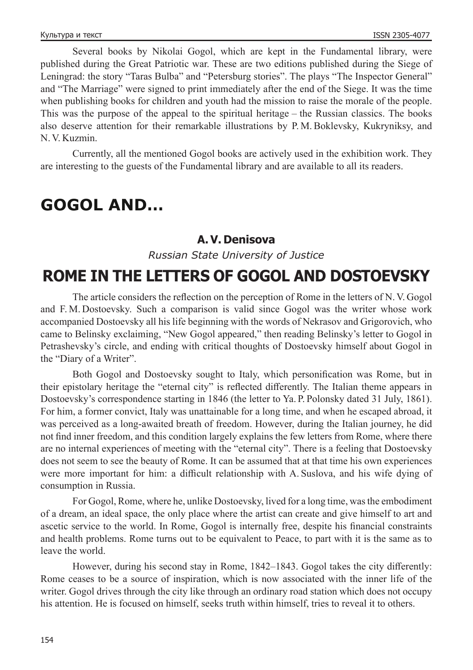Several books by Nikolai Gogol, which are kept in the Fundamental library, were published during the Great Patriotic war. These are two editions published during the Siege of Leningrad: the story "Taras Bulba" and "Petersburg stories". The plays "The Inspector General" and "The Marriage" were signed to print immediately after the end of the Siege. It was the time when publishing books for children and youth had the mission to raise the morale of the people. This was the purpose of the appeal to the spiritual heritage – the Russian classics. The books also deserve attention for their remarkable illustrations by P. M. Boklevsky, Kukryniksy, and N. V. Kuzmin.

Currently, all the mentioned Gogol books are actively used in the exhibition work. They are interesting to the guests of the Fundamental library and are available to all its readers.

## **GOGOL AND…**

### **A. V. Denisova**

*Russian State University of Justice*

## **ROME IN THE LETTERS OF GOGOL AND DOSTOEVSKY**

The article considers the reflection on the perception of Rome in the letters of N. V. Gogol and F. M. Dostoevsky. Such a comparison is valid since Gogol was the writer whose work accompanied Dostoevsky all his life beginning with the words of Nekrasov and Grigorovich, who came to Belinsky exclaiming, "New Gogol appeared," then reading Belinsky's letter to Gogol in Petrashevsky's circle, and ending with critical thoughts of Dostoevsky himself about Gogol in the "Diary of a Writer".

Both Gogol and Dostoevsky sought to Italy, which personification was Rome, but in their epistolary heritage the "eternal city" is reflected differently. The Italian theme appears in Dostoevsky's correspondence starting in 1846 (the letter to Ya. P. Polonsky dated 31 July, 1861). For him, a former convict, Italy was unattainable for a long time, and when he escaped abroad, it was perceived as a long-awaited breath of freedom. However, during the Italian journey, he did not find inner freedom, and this condition largely explains the few letters from Rome, where there are no internal experiences of meeting with the "eternal city". There is a feeling that Dostoevsky does not seem to see the beauty of Rome. It can be assumed that at that time his own experiences were more important for him: a difficult relationship with A. Suslova, and his wife dying of consumption in Russia.

For Gogol, Rome, where he, unlike Dostoevsky, lived for a long time, was the embodiment of a dream, an ideal space, the only place where the artist can create and give himself to art and ascetic service to the world. In Rome, Gogol is internally free, despite his financial constraints and health problems. Rome turns out to be equivalent to Peace, to part with it is the same as to leave the world.

However, during his second stay in Rome, 1842–1843. Gogol takes the city differently: Rome ceases to be a source of inspiration, which is now associated with the inner life of the writer. Gogol drives through the city like through an ordinary road station which does not occupy his attention. He is focused on himself, seeks truth within himself, tries to reveal it to others.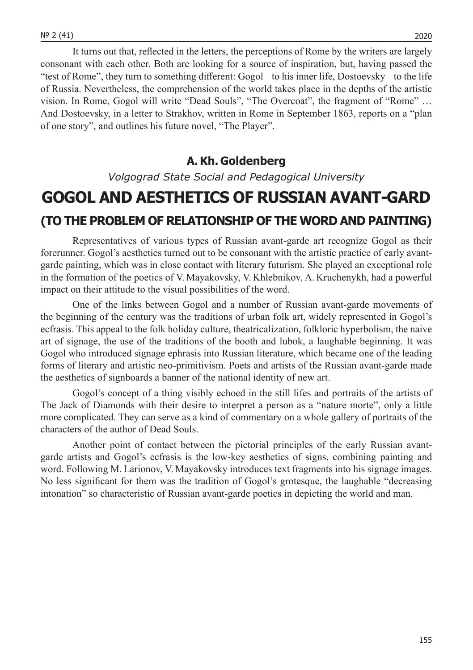It turns out that, reflected in the letters, the perceptions of Rome by the writers are largely consonant with each other. Both are looking for a source of inspiration, but, having passed the "test of Rome", they turn to something different: Gogol – to his inner life, Dostoevsky – to the life of Russia. Nevertheless, the comprehension of the world takes place in the depths of the artistic vision. In Rome, Gogol will write "Dead Souls", "The Overcoat", the fragment of "Rome" … And Dostoevsky, in a letter to Strakhov, written in Rome in September 1863, reports on a "plan

### **A. Kh. Goldenberg**

of one story", and outlines his future novel, "The Player".

*Volgograd State Social and Pedagogical University*

# **GOGOL AND AESTHETICS OF RUSSIAN AVANT-GARD (TO THE PROBLEM OF RELATIONSHIP OF THE WORD AND PAINTING)**

Representatives of various types of Russian avant-garde art recognize Gogol as their forerunner. Gogol's aesthetics turned out to be consonant with the artistic practice of early avantgarde painting, which was in close contact with literary futurism. She played an exceptional role in the formation of the poetics of V. Mayakovsky, V. Khlebnikov, A. Kruchenykh, had a powerful impact on their attitude to the visual possibilities of the word.

One of the links between Gogol and a number of Russian avant-garde movements of the beginning of the century was the traditions of urban folk art, widely represented in Gogol's ecfrasis. This appeal to the folk holiday culture, theatricalization, folkloric hyperbolism, the naive art of signage, the use of the traditions of the booth and lubok, a laughable beginning. It was Gogol who introduced signage ephrasis into Russian literature, which became one of the leading forms of literary and artistic neo-primitivism. Poets and artists of the Russian avant-garde made the aesthetics of signboards a banner of the national identity of new art.

Gogol's concept of a thing visibly echoed in the still lifes and portraits of the artists of The Jack of Diamonds with their desire to interpret a person as a "nature morte", only a little more complicated. They can serve as a kind of commentary on a whole gallery of portraits of the characters of the author of Dead Souls.

Another point of contact between the pictorial principles of the early Russian avantgarde artists and Gogol's ecfrasis is the low-key aesthetics of signs, combining painting and word. Following M. Larionov, V. Mayakovsky introduces text fragments into his signage images. No less significant for them was the tradition of Gogol's grotesque, the laughable "decreasing intonation" so characteristic of Russian avant-garde poetics in depicting the world and man.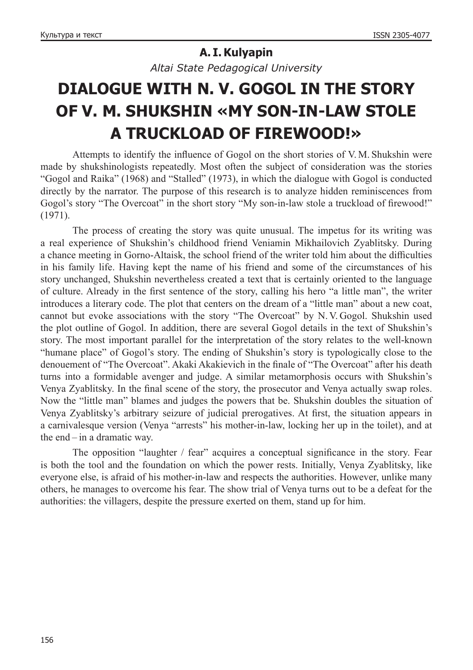### **A. I. Kulyapin**

*Altai State Pedagogical University*

# **DIALOGUE WITH N. V. GOGOL IN THE STORY OF V. M. SHUKSHIN «MY SON-IN-LAW STOLE A TRUCKLOAD OF FIREWOOD!»**

Attempts to identify the influence of Gogol on the short stories of V. M. Shukshin were made by shukshinologists repeatedly. Most often the subject of consideration was the stories "Gogol and Raika" (1968) and "Stalled" (1973), in which the dialogue with Gogol is conducted directly by the narrator. The purpose of this research is to analyze hidden reminiscences from Gogol's story "The Overcoat" in the short story "My son-in-law stole a truckload of firewood!" (1971).

The process of creating the story was quite unusual. The impetus for its writing was a real experience of Shukshin's childhood friend Veniamin Mikhailovich Zyablitsky. During a chance meeting in Gorno-Altaisk, the school friend of the writer told him about the difficulties in his family life. Having kept the name of his friend and some of the circumstances of his story unchanged, Shukshin nevertheless created a text that is certainly oriented to the language of culture. Already in the first sentence of the story, calling his hero "a little man", the writer introduces a literary code. The plot that centers on the dream of a "little man" about a new coat, cannot but evoke associations with the story "The Overcoat" by N. V. Gogol. Shukshin used the plot outline of Gogol. In addition, there are several Gogol details in the text of Shukshin's story. The most important parallel for the interpretation of the story relates to the well-known "humane place" of Gogol's story. The ending of Shukshin's story is typologically close to the denouement of "The Overcoat". Akaki Akakievich in the finale of "The Overcoat" after his death turns into a formidable avenger and judge. A similar metamorphosis occurs with Shukshin's Venya Zyablitsky. In the final scene of the story, the prosecutor and Venya actually swap roles. Now the "little man" blames and judges the powers that be. Shukshin doubles the situation of Venya Zyablitsky's arbitrary seizure of judicial prerogatives. At first, the situation appears in a carnivalesque version (Venya "arrests" his mother-in-law, locking her up in the toilet), and at the end – in a dramatic way.

The opposition "laughter / fear" acquires a conceptual significance in the story. Fear is both the tool and the foundation on which the power rests. Initially, Venya Zyablitsky, like everyone else, is afraid of his mother-in-law and respects the authorities. However, unlike many others, he manages to overcome his fear. The show trial of Venya turns out to be a defeat for the authorities: the villagers, despite the pressure exerted on them, stand up for him.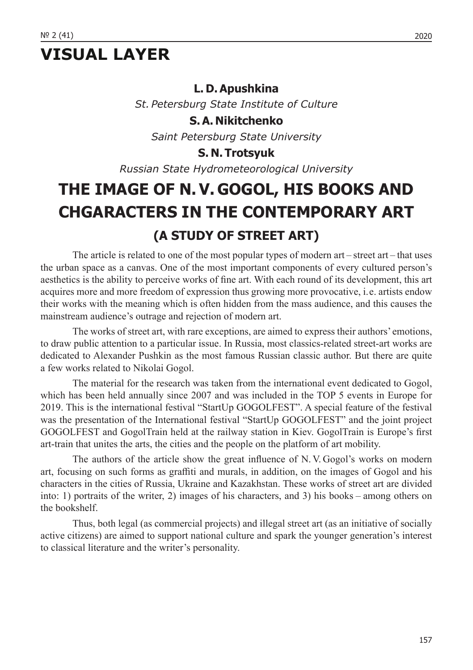# **VISUAL LAYER**

### **L. D. Apushkina**

*St. Petersburg State Institute of Culture*

**S. A. Nikitchenko**

*Saint Petersburg State University*

### **S. N. Trotsyuk**

*Russian State Hydrometeorological University*

# **THE IMAGE OF N. V. GOGOL, HIS BOOKS AND CHGARACTERS IN THE CONTEMPORARY ART (A STUDY OF STREET ART)**

The article is related to one of the most popular types of modern art – street art – that uses the urban space as a canvas. One of the most important components of every cultured person's aesthetics is the ability to perceive works of fine art. With each round of its development, this art acquires more and more freedom of expression thus growing more provocative, i. e. artists endow their works with the meaning which is often hidden from the mass audience, and this causes the mainstream audience's outrage and rejection of modern art.

The works of street art, with rare exceptions, are aimed to express their authors' emotions, to draw public attention to a particular issue. In Russia, most classics-related street-art works are dedicated to Alexander Pushkin as the most famous Russian classic author. But there are quite a few works related to Nikolai Gogol.

The material for the research was taken from the international event dedicated to Gogol, which has been held annually since 2007 and was included in the TOP 5 events in Europe for 2019. This is the international festival "StartUp GOGOLFEST". A special feature of the festival was the presentation of the International festival "StartUp GOGOLFEST" and the joint project GOGOLFEST and GogolTrain held at the railway station in Kiev. GogolTrain is Europe's first art-train that unites the arts, the cities and the people on the platform of art mobility.

The authors of the article show the great influence of N. V. Gogol's works on modern art, focusing on such forms as graffiti and murals, in addition, on the images of Gogol and his characters in the cities of Russia, Ukraine and Kazakhstan. These works of street art are divided into: 1) portraits of the writer, 2) images of his characters, and 3) his books – among others on the bookshelf.

Thus, both legal (as commercial projects) and illegal street art (as an initiative of socially active citizens) are aimed to support national culture and spark the younger generation's interest to classical literature and the writer's personality.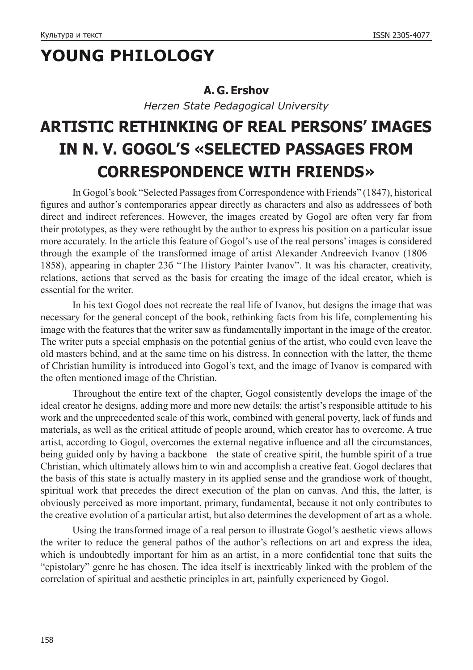# **YOUNG PHILOLOGY**

### **A.** G. Ershov

*Herzen State Pedagogical University*

# **ARTISTIC RETHINKING OF REAL PERSONS' IMAGES IN N. V. GOGOL'S «SELECTED PASSAGES FROM CORRESPONDENCE WITH FRIENDS»**

In Gogol's book "Selected Passages from Correspondence with Friends" (1847), historical figures and author's contemporaries appear directly as characters and also as addressees of both direct and indirect references. However, the images created by Gogol are often very far from their prototypes, as they were rethought by the author to express his position on a particular issue more accurately. In the article this feature of Gogol's use of the real persons' images is considered through the example of the transformed image of artist Alexander Andreevich Ivanov (1806– 1858), appearing in chapter 23б "The History Painter Ivanov". It was his character, creativity, relations, actions that served as the basis for creating the image of the ideal creator, which is essential for the writer.

In his text Gogol does not recreate the real life of Ivanov, but designs the image that was necessary for the general concept of the book, rethinking facts from his life, complementing his image with the features that the writer saw as fundamentally important in the image of the creator. The writer puts a special emphasis on the potential genius of the artist, who could even leave the old masters behind, and at the same time on his distress. In connection with the latter, the theme of Christian humility is introduced into Gogol's text, and the image of Ivanov is compared with the often mentioned image of the Christian.

Throughout the entire text of the chapter, Gogol consistently develops the image of the ideal creator he designs, adding more and more new details: the artist's responsible attitude to his work and the unprecedented scale of this work, combined with general poverty, lack of funds and materials, as well as the critical attitude of people around, which creator has to overcome. A true artist, according to Gogol, overcomes the external negative influence and all the circumstances, being guided only by having a backbone – the state of creative spirit, the humble spirit of a true Christian, which ultimately allows him to win and accomplish a creative feat. Gogol declares that the basis of this state is actually mastery in its applied sense and the grandiose work of thought, spiritual work that precedes the direct execution of the plan on canvas. And this, the latter, is obviously perceived as more important, primary, fundamental, because it not only contributes to the creative evolution of a particular artist, but also determines the development of art as a whole.

Using the transformed image of a real person to illustrate Gogol's aesthetic views allows the writer to reduce the general pathos of the author's reflections on art and express the idea, which is undoubtedly important for him as an artist, in a more confidential tone that suits the "epistolary" genre he has chosen. The idea itself is inextricably linked with the problem of the correlation of spiritual and aesthetic principles in art, painfully experienced by Gogol.